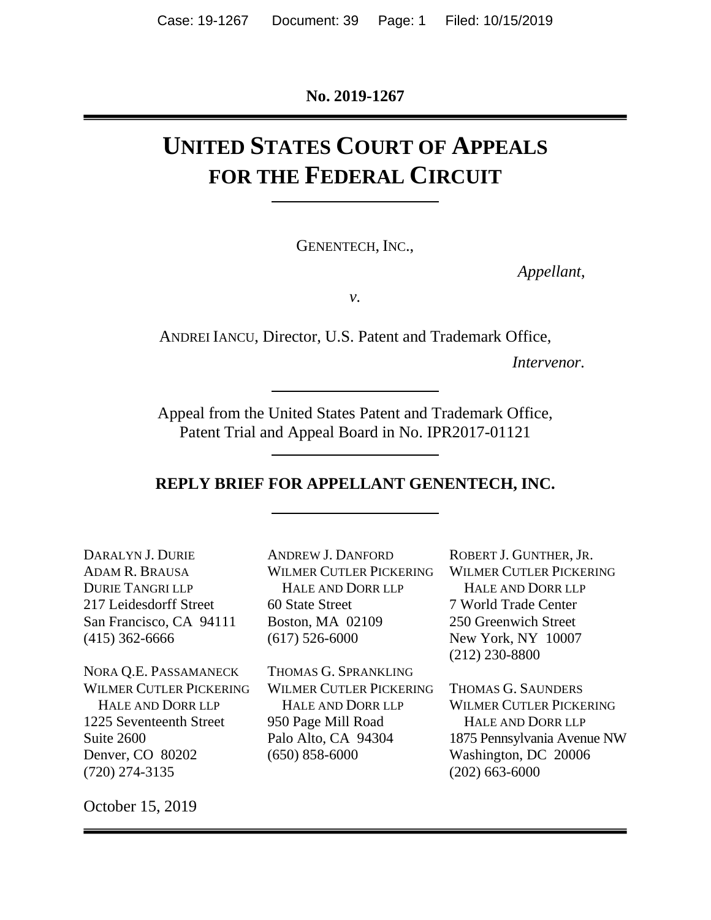**No. 2019-1267**

# **UNITED STATES COURT OF APPEALS FOR THE FEDERAL CIRCUIT**

GENENTECH, INC.,

*Appellant*,

*v.*

ANDREI IANCU, Director, U.S. Patent and Trademark Office,

*Intervenor.*

Appeal from the United States Patent and Trademark Office, Patent Trial and Appeal Board in No. IPR2017-01121

#### **REPLY BRIEF FOR APPELLANT GENENTECH, INC.**

DARALYN J. DURIE ADAM R. BRAUSA DURIE TANGRI LLP 217 Leidesdorff Street San Francisco, CA 94111 (415) 362-6666

NORA Q.E. PASSAMANECK WILMER CUTLER PICKERING HALE AND DORR LLP 1225 Seventeenth Street Suite 2600 Denver, CO 80202 (720) 274-3135

ANDREW J. DANFORD WILMER CUTLER PICKERING HALE AND DORR LLP 60 State Street Boston, MA 02109 (617) 526-6000

THOMAS G. SPRANKLING WILMER CUTLER PICKERING HALE AND DORR LLP 950 Page Mill Road Palo Alto, CA 94304 (650) 858-6000

ROBERT J. GUNTHER, JR. WILMER CUTLER PICKERING HALE AND DORR LLP 7 World Trade Center 250 Greenwich Street New York, NY 10007 (212) 230-8800

THOMAS G. SAUNDERS WILMER CUTLER PICKERING HALE AND DORR LLP 1875 Pennsylvania Avenue NW Washington, DC 20006 (202) 663-6000

October 15, 2019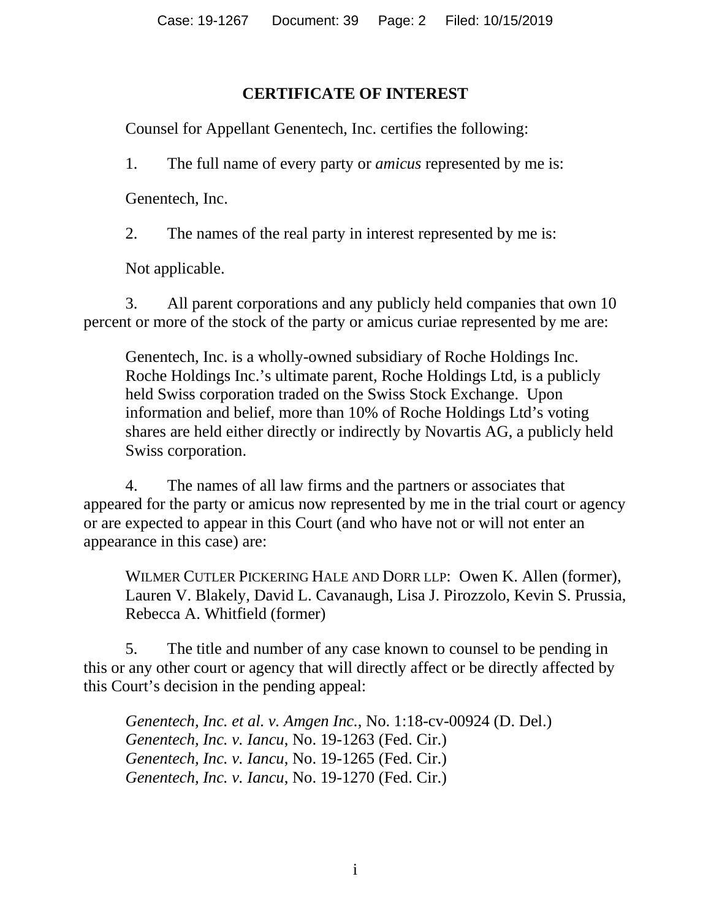## **CERTIFICATE OF INTEREST**

<span id="page-1-0"></span>Counsel for Appellant Genentech, Inc. certifies the following:

1. The full name of every party or *amicus* represented by me is:

Genentech, Inc.

2. The names of the real party in interest represented by me is:

Not applicable.

3. All parent corporations and any publicly held companies that own 10 percent or more of the stock of the party or amicus curiae represented by me are:

Genentech, Inc. is a wholly-owned subsidiary of Roche Holdings Inc. Roche Holdings Inc.'s ultimate parent, Roche Holdings Ltd, is a publicly held Swiss corporation traded on the Swiss Stock Exchange. Upon information and belief, more than 10% of Roche Holdings Ltd's voting shares are held either directly or indirectly by Novartis AG, a publicly held Swiss corporation.

4. The names of all law firms and the partners or associates that appeared for the party or amicus now represented by me in the trial court or agency or are expected to appear in this Court (and who have not or will not enter an appearance in this case) are:

WILMER CUTLER PICKERING HALE AND DORR LLP: Owen K. Allen (former), Lauren V. Blakely, David L. Cavanaugh, Lisa J. Pirozzolo, Kevin S. Prussia, Rebecca A. Whitfield (former)

5. The title and number of any case known to counsel to be pending in this or any other court or agency that will directly affect or be directly affected by this Court's decision in the pending appeal:

*Genentech, Inc. et al. v. Amgen Inc.*, No. 1:18-cv-00924 (D. Del.) *Genentech, Inc. v. Iancu*, No. 19-1263 (Fed. Cir.) *Genentech, Inc. v. Iancu*, No. 19-1265 (Fed. Cir.) *Genentech, Inc. v. Iancu*, No. 19-1270 (Fed. Cir.)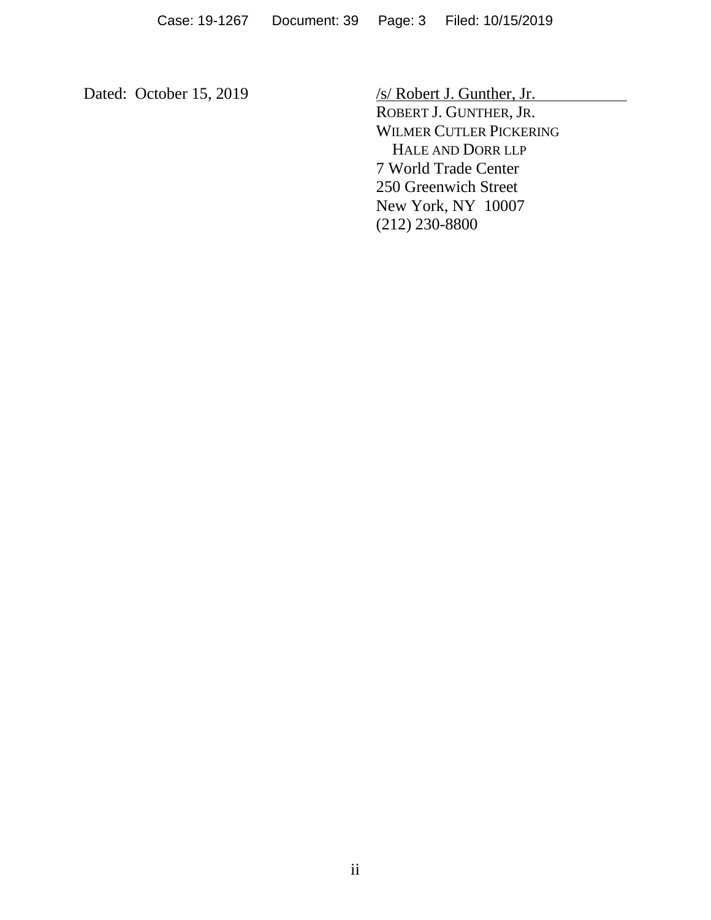Dated: October 15, 2019 /s/ Robert J. Gunther, Jr. ROBERT J. GUNTHER, JR. WILMER CUTLER PICKERING HALE AND DORR LLP 7 World Trade Center 250 Greenwich Street New York, NY 10007 (212) 230-8800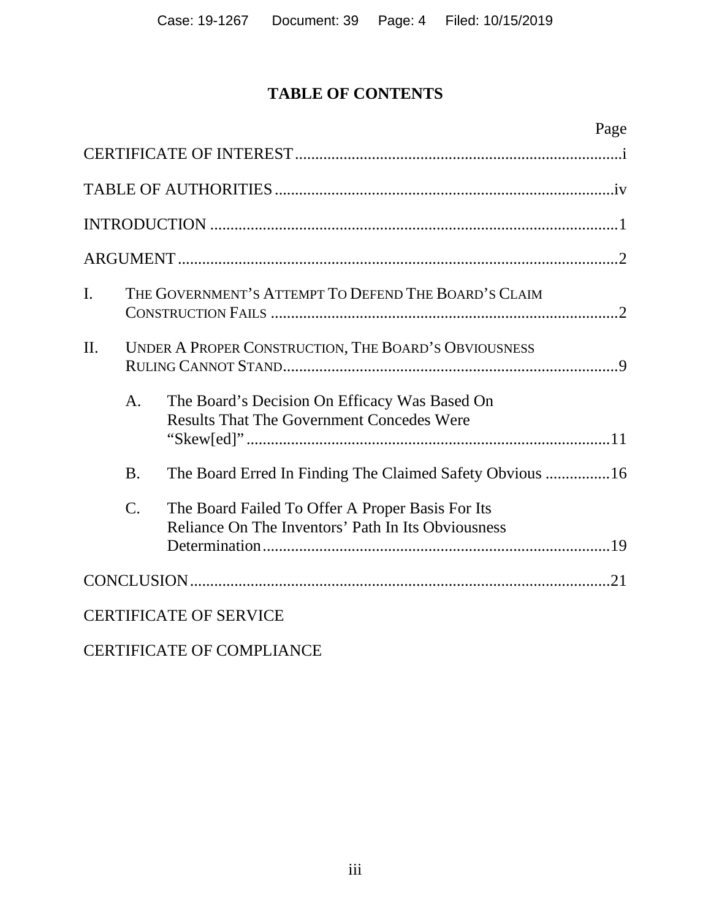## **TABLE OF CONTENTS**

|                |                                                      | Page                                                                                                   |  |
|----------------|------------------------------------------------------|--------------------------------------------------------------------------------------------------------|--|
|                |                                                      |                                                                                                        |  |
|                |                                                      |                                                                                                        |  |
|                |                                                      |                                                                                                        |  |
|                |                                                      |                                                                                                        |  |
| $\mathbf{I}$ . | THE GOVERNMENT'S ATTEMPT TO DEFEND THE BOARD'S CLAIM |                                                                                                        |  |
| $\Pi$ .        |                                                      | UNDER A PROPER CONSTRUCTION, THE BOARD'S OBVIOUSNESS                                                   |  |
|                | A <sub>1</sub>                                       | The Board's Decision On Efficacy Was Based On<br><b>Results That The Government Concedes Were</b>      |  |
|                | <b>B.</b>                                            | The Board Erred In Finding The Claimed Safety Obvious 16                                               |  |
|                | $\mathcal{C}$ .                                      | The Board Failed To Offer A Proper Basis For Its<br>Reliance On The Inventors' Path In Its Obviousness |  |
|                |                                                      |                                                                                                        |  |
|                |                                                      | <b>CERTIFICATE OF SERVICE</b>                                                                          |  |

CERTIFICATE OF COMPLIANCE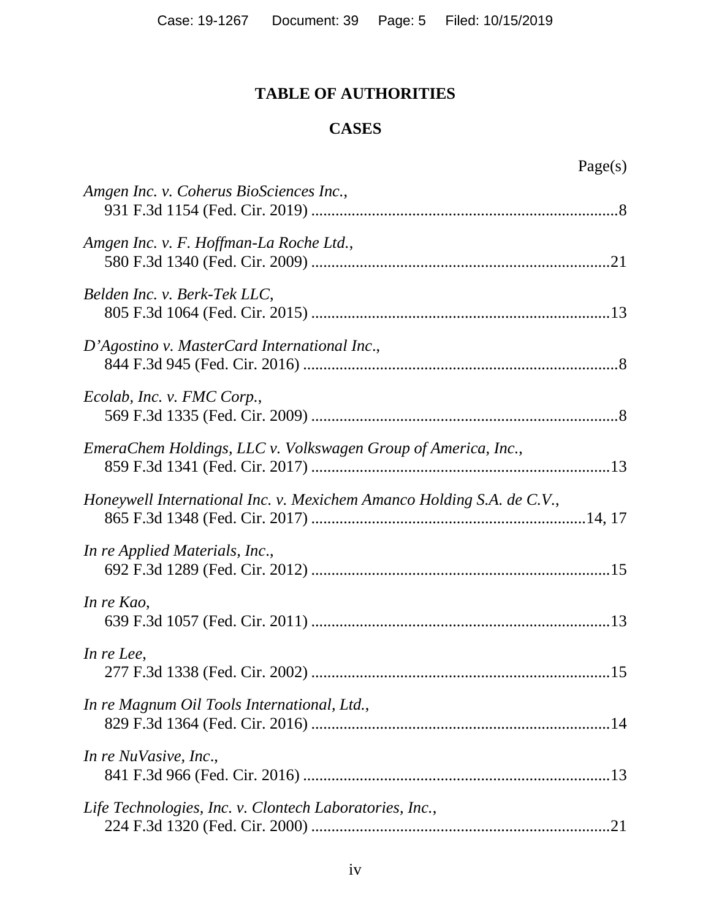# **TABLE OF AUTHORITIES**

## **CASES**

<span id="page-4-0"></span>

| Amgen Inc. v. Coherus BioSciences Inc.,                               |
|-----------------------------------------------------------------------|
| Amgen Inc. v. F. Hoffman-La Roche Ltd.,                               |
| Belden Inc. v. Berk-Tek LLC,                                          |
| D'Agostino v. MasterCard International Inc.,                          |
| Ecolab, Inc. v. FMC Corp.,                                            |
| EmeraChem Holdings, LLC v. Volkswagen Group of America, Inc.,         |
| Honeywell International Inc. v. Mexichem Amanco Holding S.A. de C.V., |
| In re Applied Materials, Inc.,                                        |
| In re Kao,                                                            |
| In re Lee,                                                            |
| In re Magnum Oil Tools International, Ltd.,                           |
| In re NuVasive, Inc.,                                                 |
| Life Technologies, Inc. v. Clontech Laboratories, Inc.,               |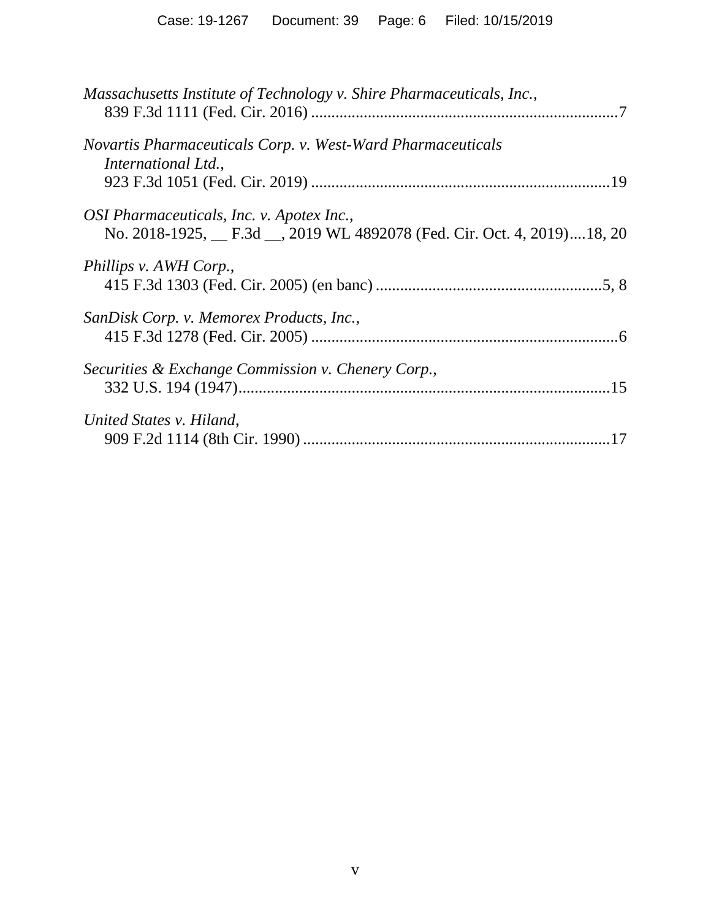| Massachusetts Institute of Technology v. Shire Pharmaceuticals, Inc.,                                               |
|---------------------------------------------------------------------------------------------------------------------|
| Novartis Pharmaceuticals Corp. v. West-Ward Pharmaceuticals<br>International Ltd.,                                  |
| OSI Pharmaceuticals, Inc. v. Apotex Inc.,<br>No. 2018-1925, F.3d __, 2019 WL 4892078 (Fed. Cir. Oct. 4, 2019)18, 20 |
| Phillips v. AWH Corp.,                                                                                              |
| SanDisk Corp. v. Memorex Products, Inc.,                                                                            |
| Securities & Exchange Commission v. Chenery Corp.,                                                                  |
| United States v. Hiland,                                                                                            |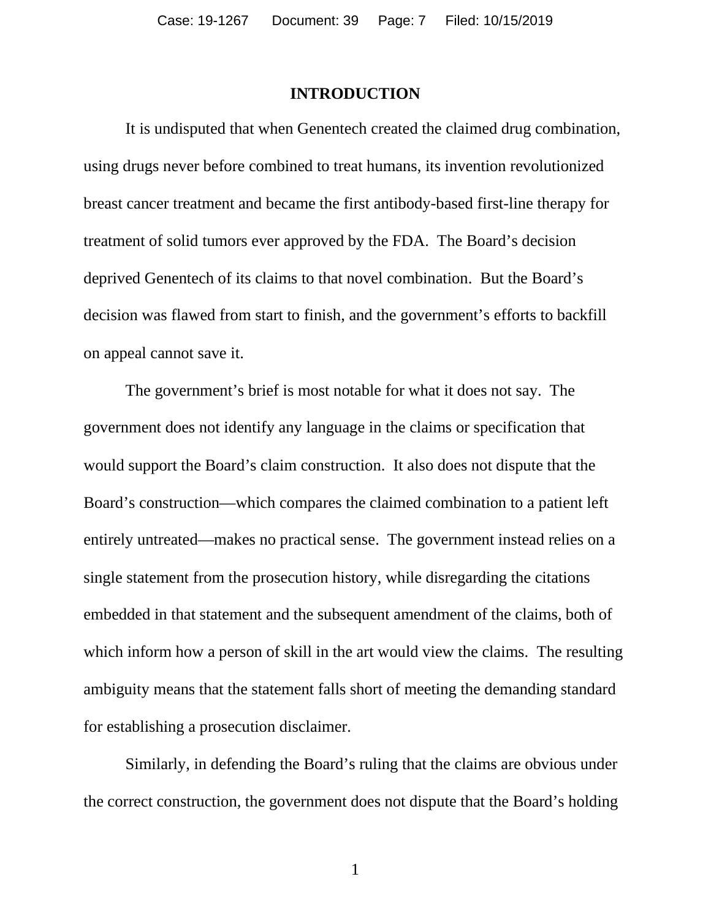#### **INTRODUCTION**

<span id="page-6-0"></span>It is undisputed that when Genentech created the claimed drug combination, using drugs never before combined to treat humans, its invention revolutionized breast cancer treatment and became the first antibody-based first-line therapy for treatment of solid tumors ever approved by the FDA. The Board's decision deprived Genentech of its claims to that novel combination. But the Board's decision was flawed from start to finish, and the government's efforts to backfill on appeal cannot save it.

The government's brief is most notable for what it does not say. The government does not identify any language in the claims or specification that would support the Board's claim construction. It also does not dispute that the Board's construction—which compares the claimed combination to a patient left entirely untreated—makes no practical sense. The government instead relies on a single statement from the prosecution history, while disregarding the citations embedded in that statement and the subsequent amendment of the claims, both of which inform how a person of skill in the art would view the claims. The resulting ambiguity means that the statement falls short of meeting the demanding standard for establishing a prosecution disclaimer.

Similarly, in defending the Board's ruling that the claims are obvious under the correct construction, the government does not dispute that the Board's holding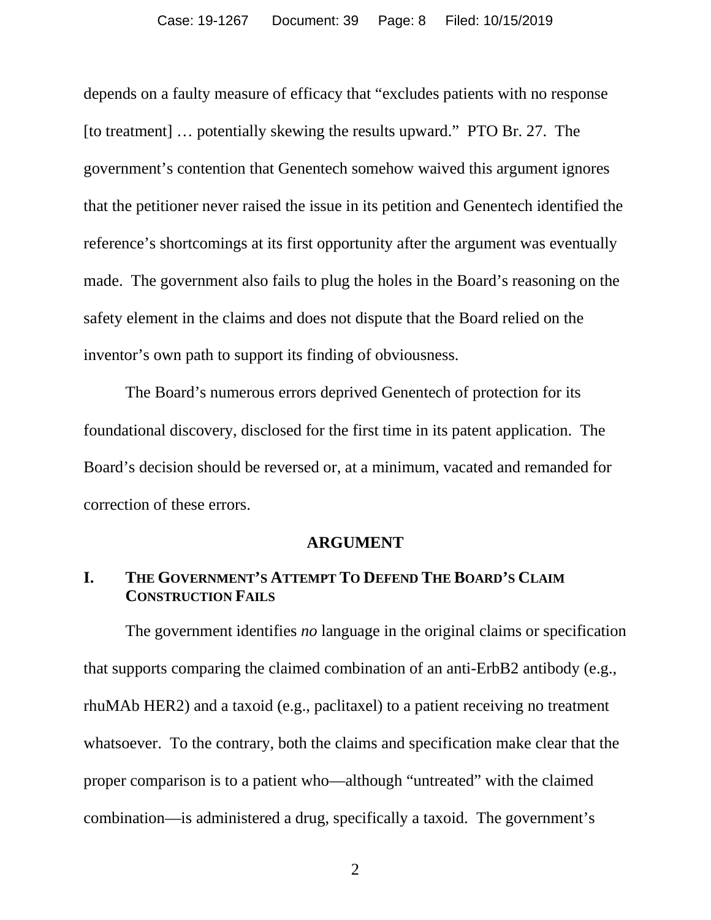depends on a faulty measure of efficacy that "excludes patients with no response [to treatment] … potentially skewing the results upward." PTO Br. 27. The government's contention that Genentech somehow waived this argument ignores that the petitioner never raised the issue in its petition and Genentech identified the reference's shortcomings at its first opportunity after the argument was eventually made. The government also fails to plug the holes in the Board's reasoning on the safety element in the claims and does not dispute that the Board relied on the inventor's own path to support its finding of obviousness.

The Board's numerous errors deprived Genentech of protection for its foundational discovery, disclosed for the first time in its patent application. The Board's decision should be reversed or, at a minimum, vacated and remanded for correction of these errors.

#### **ARGUMENT**

## <span id="page-7-1"></span><span id="page-7-0"></span>**I. THE GOVERNMENT'S ATTEMPT TO DEFEND THE BOARD'S CLAIM CONSTRUCTION FAILS**

The government identifies *no* language in the original claims or specification that supports comparing the claimed combination of an anti-ErbB2 antibody (e.g., rhuMAb HER2) and a taxoid (e.g., paclitaxel) to a patient receiving no treatment whatsoever. To the contrary, both the claims and specification make clear that the proper comparison is to a patient who—although "untreated" with the claimed combination—is administered a drug, specifically a taxoid. The government's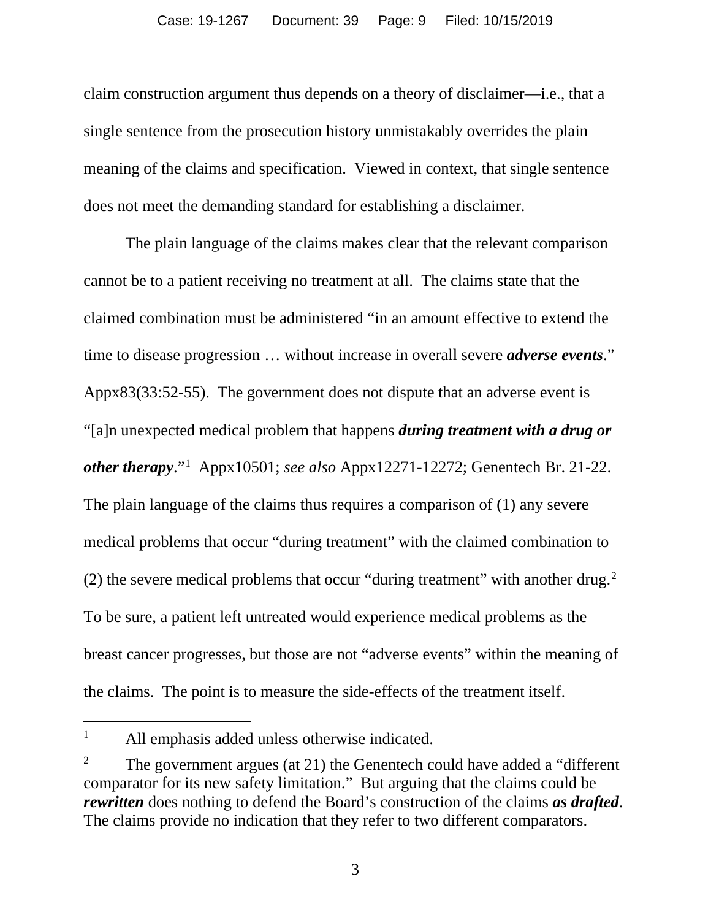claim construction argument thus depends on a theory of disclaimer—i.e., that a single sentence from the prosecution history unmistakably overrides the plain meaning of the claims and specification. Viewed in context, that single sentence does not meet the demanding standard for establishing a disclaimer.

The plain language of the claims makes clear that the relevant comparison cannot be to a patient receiving no treatment at all. The claims state that the claimed combination must be administered "in an amount effective to extend the time to disease progression … without increase in overall severe *adverse events*." Appx83(33:52-55). The government does not dispute that an adverse event is "[a]n unexpected medical problem that happens *during treatment with a drug or other therapy*."[1](#page-8-0) Appx10501; *see also* Appx12271-12272; Genentech Br. 21-22. The plain language of the claims thus requires a comparison of (1) any severe medical problems that occur "during treatment" with the claimed combination to ([2](#page-8-1)) the severe medical problems that occur "during treatment" with another drug. $2$ To be sure, a patient left untreated would experience medical problems as the breast cancer progresses, but those are not "adverse events" within the meaning of the claims. The point is to measure the side-effects of the treatment itself.

<span id="page-8-0"></span><sup>&</sup>lt;sup>1</sup> All emphasis added unless otherwise indicated.

<span id="page-8-1"></span><sup>&</sup>lt;sup>2</sup> The government argues (at 21) the Genentech could have added a "different" comparator for its new safety limitation." But arguing that the claims could be *rewritten* does nothing to defend the Board's construction of the claims *as drafted*. The claims provide no indication that they refer to two different comparators.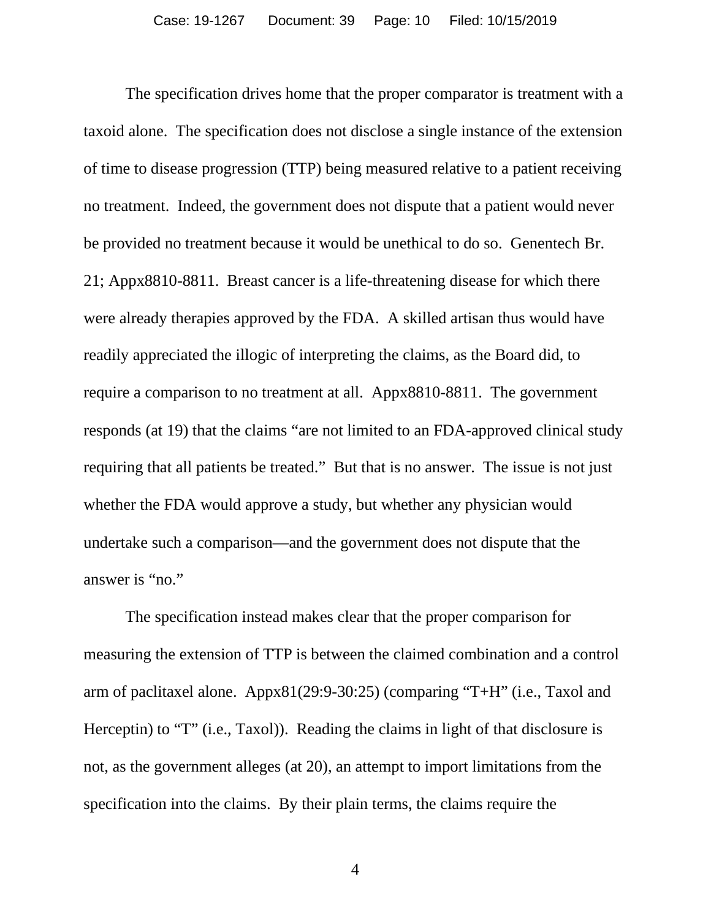The specification drives home that the proper comparator is treatment with a taxoid alone. The specification does not disclose a single instance of the extension of time to disease progression (TTP) being measured relative to a patient receiving no treatment. Indeed, the government does not dispute that a patient would never be provided no treatment because it would be unethical to do so. Genentech Br. 21; Appx8810-8811. Breast cancer is a life-threatening disease for which there were already therapies approved by the FDA. A skilled artisan thus would have readily appreciated the illogic of interpreting the claims, as the Board did, to require a comparison to no treatment at all. Appx8810-8811. The government responds (at 19) that the claims "are not limited to an FDA-approved clinical study requiring that all patients be treated." But that is no answer. The issue is not just whether the FDA would approve a study, but whether any physician would undertake such a comparison—and the government does not dispute that the answer is "no."

The specification instead makes clear that the proper comparison for measuring the extension of TTP is between the claimed combination and a control arm of paclitaxel alone. Appx81(29:9-30:25) (comparing "T+H" (i.e., Taxol and Herceptin) to "T" (i.e., Taxol)). Reading the claims in light of that disclosure is not, as the government alleges (at 20), an attempt to import limitations from the specification into the claims. By their plain terms, the claims require the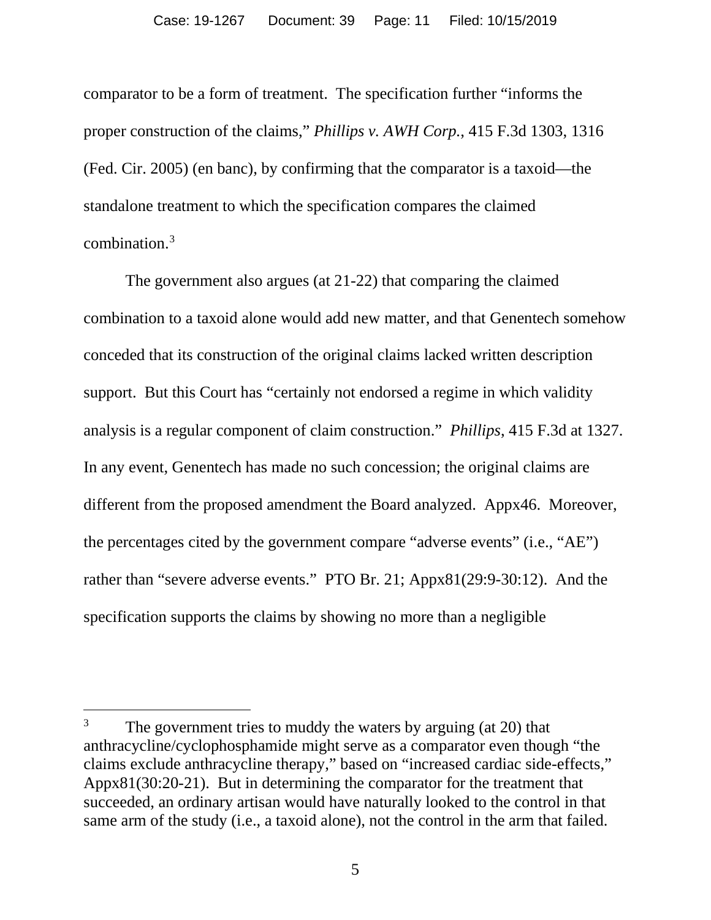comparator to be a form of treatment. The specification further "informs the proper construction of the claims," *Phillips v. AWH Corp.*, 415 F.3d 1303, 1316 (Fed. Cir. 2005) (en banc), by confirming that the comparator is a taxoid—the standalone treatment to which the specification compares the claimed combination.[3](#page-10-0)

The government also argues (at 21-22) that comparing the claimed combination to a taxoid alone would add new matter, and that Genentech somehow conceded that its construction of the original claims lacked written description support. But this Court has "certainly not endorsed a regime in which validity analysis is a regular component of claim construction." *Phillips*, 415 F.3d at 1327. In any event, Genentech has made no such concession; the original claims are different from the proposed amendment the Board analyzed. Appx46. Moreover, the percentages cited by the government compare "adverse events" (i.e., "AE") rather than "severe adverse events." PTO Br. 21; Appx81(29:9-30:12). And the specification supports the claims by showing no more than a negligible

<span id="page-10-0"></span><sup>&</sup>lt;sup>3</sup> The government tries to muddy the waters by arguing (at 20) that anthracycline/cyclophosphamide might serve as a comparator even though "the claims exclude anthracycline therapy," based on "increased cardiac side-effects," Appx81(30:20-21). But in determining the comparator for the treatment that succeeded, an ordinary artisan would have naturally looked to the control in that same arm of the study (i.e., a taxoid alone), not the control in the arm that failed.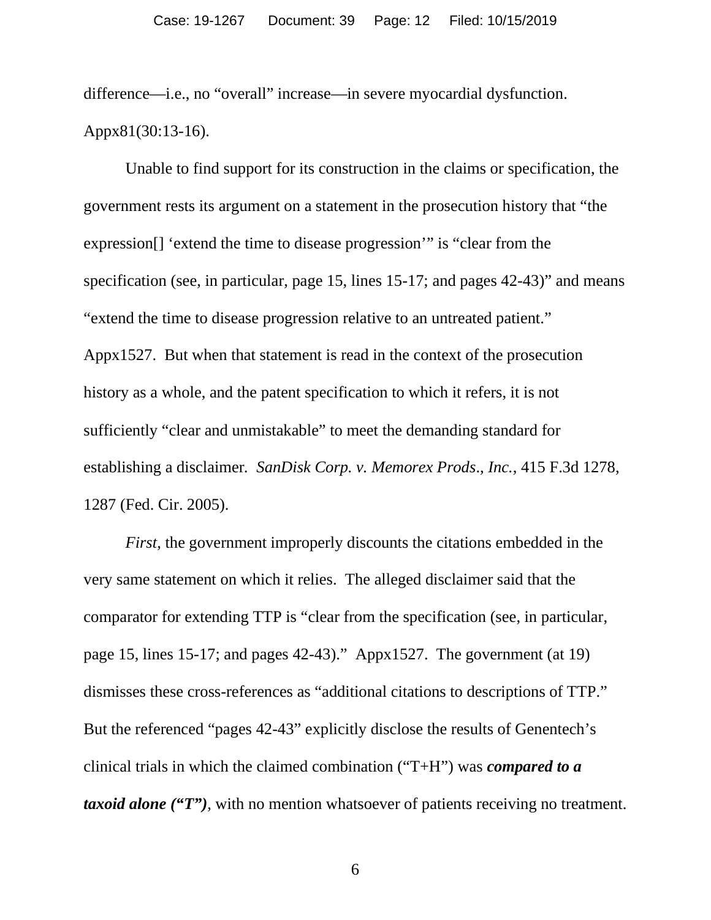difference—i.e., no "overall" increase—in severe myocardial dysfunction. Appx81(30:13-16).

Unable to find support for its construction in the claims or specification, the government rests its argument on a statement in the prosecution history that "the expression[] 'extend the time to disease progression'" is "clear from the specification (see, in particular, page 15, lines 15-17; and pages 42-43)" and means "extend the time to disease progression relative to an untreated patient." Appx1527. But when that statement is read in the context of the prosecution history as a whole, and the patent specification to which it refers, it is not sufficiently "clear and unmistakable" to meet the demanding standard for establishing a disclaimer*. SanDisk Corp. v. Memorex Prods*.*, Inc.*, 415 F.3d 1278, 1287 (Fed. Cir. 2005).

*First*, the government improperly discounts the citations embedded in the very same statement on which it relies. The alleged disclaimer said that the comparator for extending TTP is "clear from the specification (see, in particular, page 15, lines 15-17; and pages 42-43)." Appx1527. The government (at 19) dismisses these cross-references as "additional citations to descriptions of TTP." But the referenced "pages 42-43" explicitly disclose the results of Genentech's clinical trials in which the claimed combination ("T+H") was *compared to a taxoid alone* ("T"), with no mention whatsoever of patients receiving no treatment.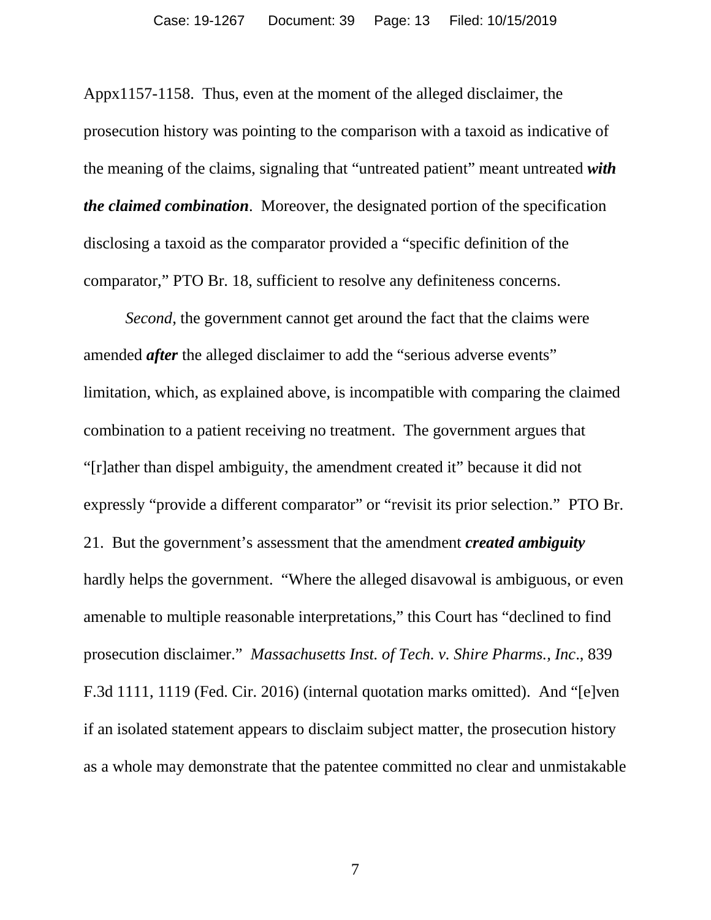Appx1157-1158. Thus, even at the moment of the alleged disclaimer, the prosecution history was pointing to the comparison with a taxoid as indicative of the meaning of the claims, signaling that "untreated patient" meant untreated *with the claimed combination*. Moreover, the designated portion of the specification disclosing a taxoid as the comparator provided a "specific definition of the comparator," PTO Br. 18, sufficient to resolve any definiteness concerns.

*Second*, the government cannot get around the fact that the claims were amended *after* the alleged disclaimer to add the "serious adverse events" limitation, which, as explained above, is incompatible with comparing the claimed combination to a patient receiving no treatment. The government argues that "[r]ather than dispel ambiguity, the amendment created it" because it did not expressly "provide a different comparator" or "revisit its prior selection." PTO Br. 21. But the government's assessment that the amendment *created ambiguity* hardly helps the government. "Where the alleged disavowal is ambiguous, or even amenable to multiple reasonable interpretations," this Court has "declined to find prosecution disclaimer." *Massachusetts Inst. of Tech. v. Shire Pharms., Inc*., 839 F.3d 1111, 1119 (Fed. Cir. 2016) (internal quotation marks omitted). And "[e]ven if an isolated statement appears to disclaim subject matter, the prosecution history as a whole may demonstrate that the patentee committed no clear and unmistakable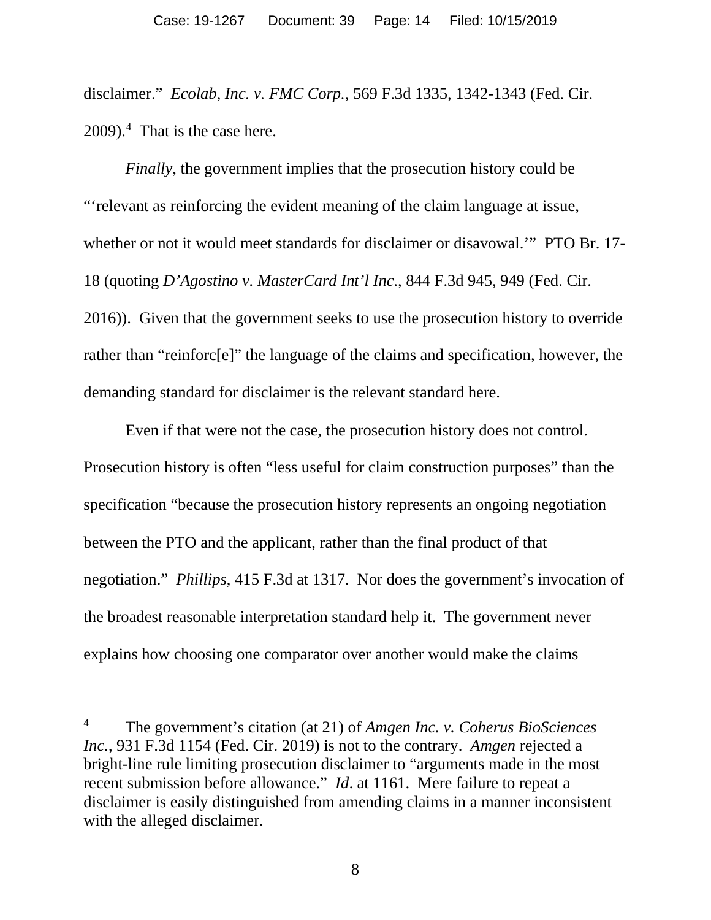disclaimer." *Ecolab, Inc. v. FMC Corp.*, 569 F.3d 1335, 1342-1343 (Fed. Cir. 2009).[4](#page-13-0) That is the case here.

*Finally*, the government implies that the prosecution history could be "'relevant as reinforcing the evident meaning of the claim language at issue, whether or not it would meet standards for disclaimer or disavowal.'" PTO Br. 17- 18 (quoting *D'Agostino v. MasterCard Int'l Inc*., 844 F.3d 945, 949 (Fed. Cir. 2016)). Given that the government seeks to use the prosecution history to override rather than "reinforc[e]" the language of the claims and specification, however, the demanding standard for disclaimer is the relevant standard here.

Even if that were not the case, the prosecution history does not control. Prosecution history is often "less useful for claim construction purposes" than the specification "because the prosecution history represents an ongoing negotiation between the PTO and the applicant, rather than the final product of that negotiation." *Phillips*, 415 F.3d at 1317. Nor does the government's invocation of the broadest reasonable interpretation standard help it. The government never explains how choosing one comparator over another would make the claims

<span id="page-13-0"></span><sup>4</sup> The government's citation (at 21) of *Amgen Inc. v. Coherus BioSciences Inc.*, 931 F.3d 1154 (Fed. Cir. 2019) is not to the contrary. *Amgen* rejected a bright-line rule limiting prosecution disclaimer to "arguments made in the most recent submission before allowance." *Id*. at 1161. Mere failure to repeat a disclaimer is easily distinguished from amending claims in a manner inconsistent with the alleged disclaimer.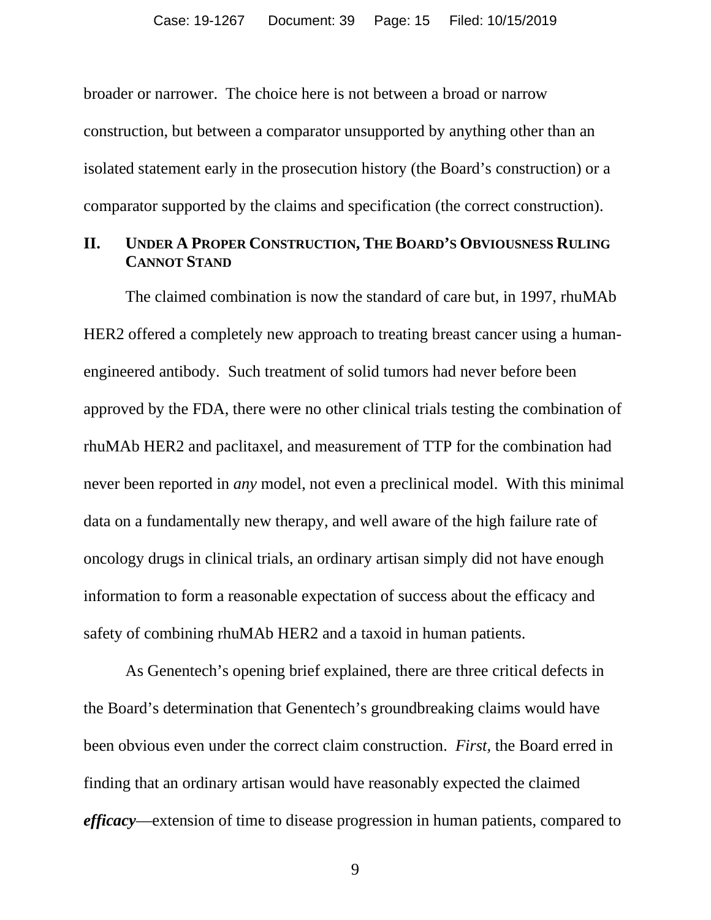broader or narrower. The choice here is not between a broad or narrow construction, but between a comparator unsupported by anything other than an isolated statement early in the prosecution history (the Board's construction) or a comparator supported by the claims and specification (the correct construction).

#### <span id="page-14-0"></span>**II. UNDER A PROPER CONSTRUCTION, THE BOARD'S OBVIOUSNESS RULING CANNOT STAND**

The claimed combination is now the standard of care but, in 1997, rhuMAb HER2 offered a completely new approach to treating breast cancer using a humanengineered antibody. Such treatment of solid tumors had never before been approved by the FDA, there were no other clinical trials testing the combination of rhuMAb HER2 and paclitaxel, and measurement of TTP for the combination had never been reported in *any* model, not even a preclinical model. With this minimal data on a fundamentally new therapy, and well aware of the high failure rate of oncology drugs in clinical trials, an ordinary artisan simply did not have enough information to form a reasonable expectation of success about the efficacy and safety of combining rhuMAb HER2 and a taxoid in human patients.

As Genentech's opening brief explained, there are three critical defects in the Board's determination that Genentech's groundbreaking claims would have been obvious even under the correct claim construction. *First,* the Board erred in finding that an ordinary artisan would have reasonably expected the claimed *efficacy*—extension of time to disease progression in human patients, compared to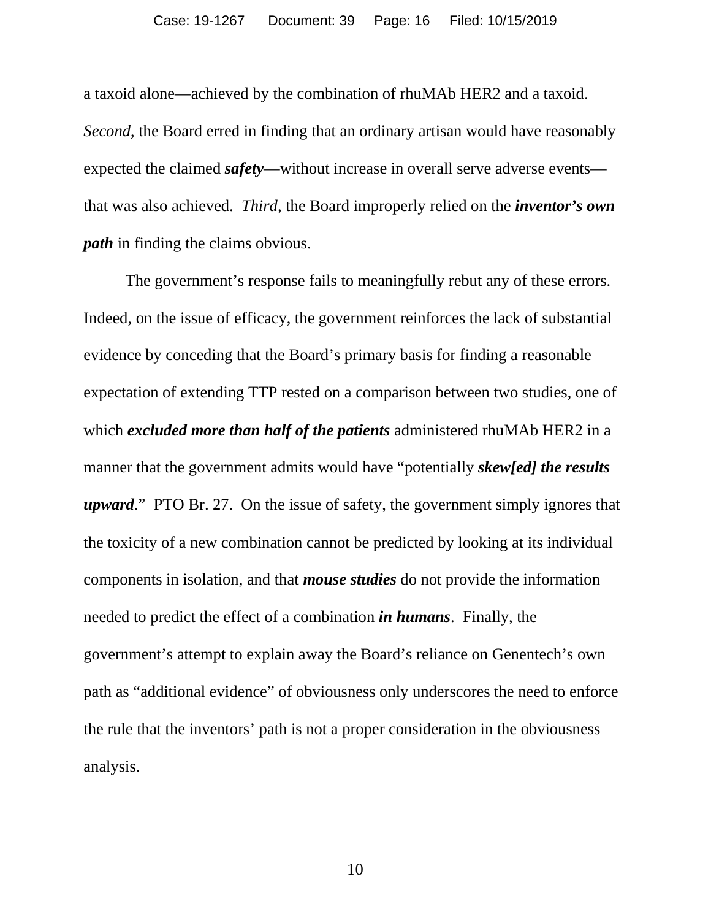a taxoid alone—achieved by the combination of rhuMAb HER2 and a taxoid. *Second*, the Board erred in finding that an ordinary artisan would have reasonably expected the claimed *safety*—without increase in overall serve adverse events that was also achieved. *Third*, the Board improperly relied on the *inventor's own path* in finding the claims obvious.

The government's response fails to meaningfully rebut any of these errors. Indeed, on the issue of efficacy, the government reinforces the lack of substantial evidence by conceding that the Board's primary basis for finding a reasonable expectation of extending TTP rested on a comparison between two studies, one of which *excluded more than half of the patients* administered rhuMAb HER2 in a manner that the government admits would have "potentially *skew[ed] the results upward*." PTO Br. 27. On the issue of safety, the government simply ignores that the toxicity of a new combination cannot be predicted by looking at its individual components in isolation, and that *mouse studies* do not provide the information needed to predict the effect of a combination *in humans*. Finally, the government's attempt to explain away the Board's reliance on Genentech's own path as "additional evidence" of obviousness only underscores the need to enforce the rule that the inventors' path is not a proper consideration in the obviousness analysis.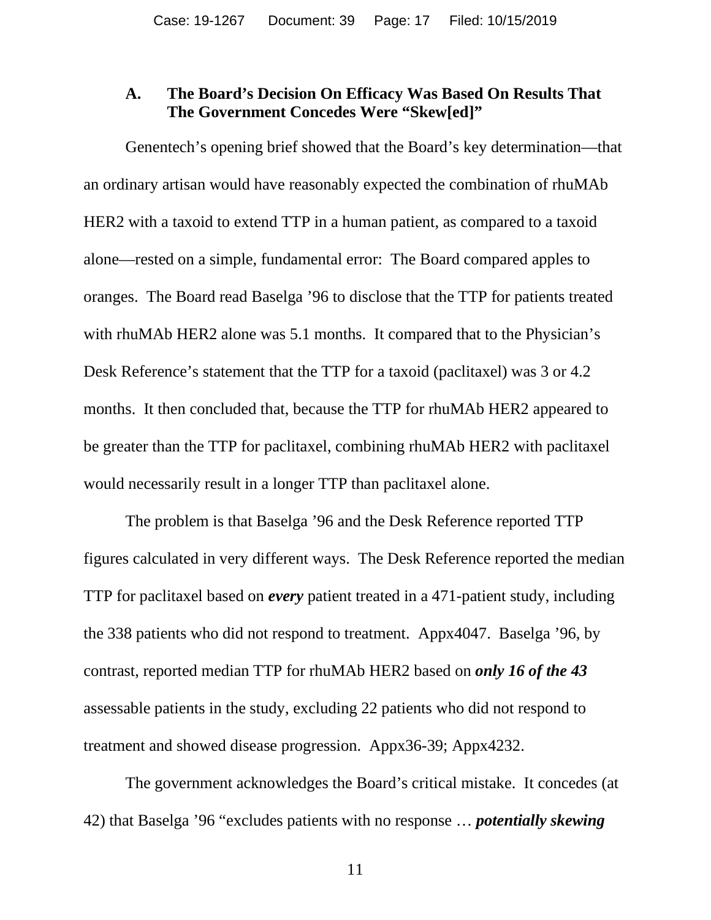#### <span id="page-16-0"></span>**A. The Board's Decision On Efficacy Was Based On Results That The Government Concedes Were "Skew[ed]"**

Genentech's opening brief showed that the Board's key determination—that an ordinary artisan would have reasonably expected the combination of rhuMAb HER2 with a taxoid to extend TTP in a human patient, as compared to a taxoid alone—rested on a simple, fundamental error: The Board compared apples to oranges. The Board read Baselga '96 to disclose that the TTP for patients treated with rhuMAb HER2 alone was 5.1 months. It compared that to the Physician's Desk Reference's statement that the TTP for a taxoid (paclitaxel) was 3 or 4.2 months. It then concluded that, because the TTP for rhuMAb HER2 appeared to be greater than the TTP for paclitaxel, combining rhuMAb HER2 with paclitaxel would necessarily result in a longer TTP than paclitaxel alone.

The problem is that Baselga '96 and the Desk Reference reported TTP figures calculated in very different ways. The Desk Reference reported the median TTP for paclitaxel based on *every* patient treated in a 471-patient study, including the 338 patients who did not respond to treatment. Appx4047. Baselga '96, by contrast, reported median TTP for rhuMAb HER2 based on *only 16 of the 43* assessable patients in the study, excluding 22 patients who did not respond to treatment and showed disease progression. Appx36-39; Appx4232.

The government acknowledges the Board's critical mistake. It concedes (at 42) that Baselga '96 "excludes patients with no response … *potentially skewing*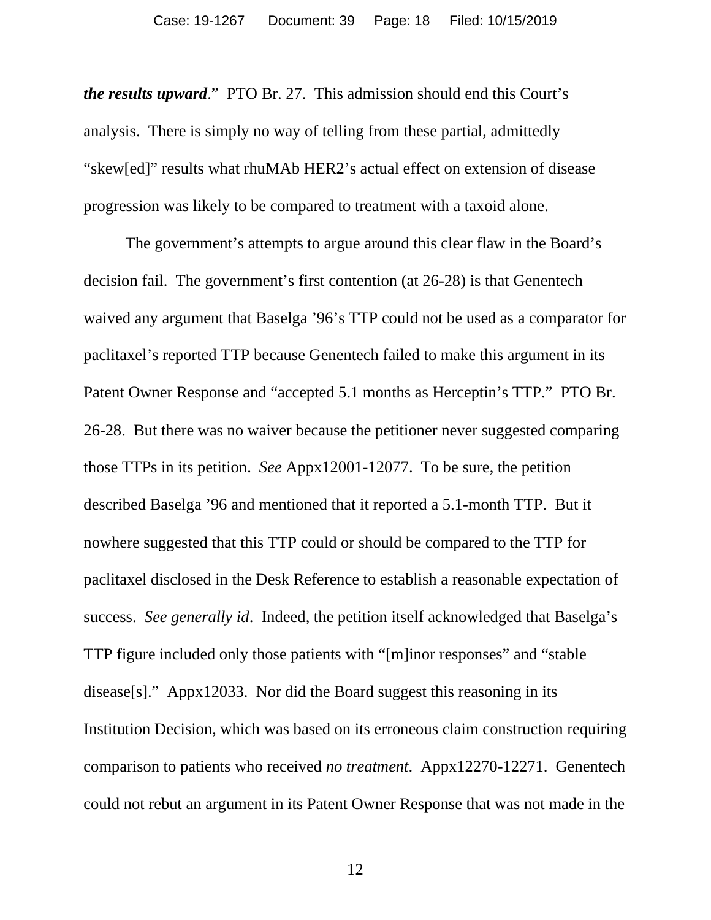*the results upward*." PTO Br. 27. This admission should end this Court's analysis. There is simply no way of telling from these partial, admittedly "skew[ed]" results what rhuMAb HER2's actual effect on extension of disease progression was likely to be compared to treatment with a taxoid alone.

The government's attempts to argue around this clear flaw in the Board's decision fail. The government's first contention (at 26-28) is that Genentech waived any argument that Baselga '96's TTP could not be used as a comparator for paclitaxel's reported TTP because Genentech failed to make this argument in its Patent Owner Response and "accepted 5.1 months as Herceptin's TTP." PTO Br. 26-28. But there was no waiver because the petitioner never suggested comparing those TTPs in its petition. *See* Appx12001-12077. To be sure, the petition described Baselga '96 and mentioned that it reported a 5.1-month TTP. But it nowhere suggested that this TTP could or should be compared to the TTP for paclitaxel disclosed in the Desk Reference to establish a reasonable expectation of success. *See generally id*. Indeed, the petition itself acknowledged that Baselga's TTP figure included only those patients with "[m]inor responses" and "stable disease[s]." Appx12033. Nor did the Board suggest this reasoning in its Institution Decision, which was based on its erroneous claim construction requiring comparison to patients who received *no treatment*. Appx12270-12271. Genentech could not rebut an argument in its Patent Owner Response that was not made in the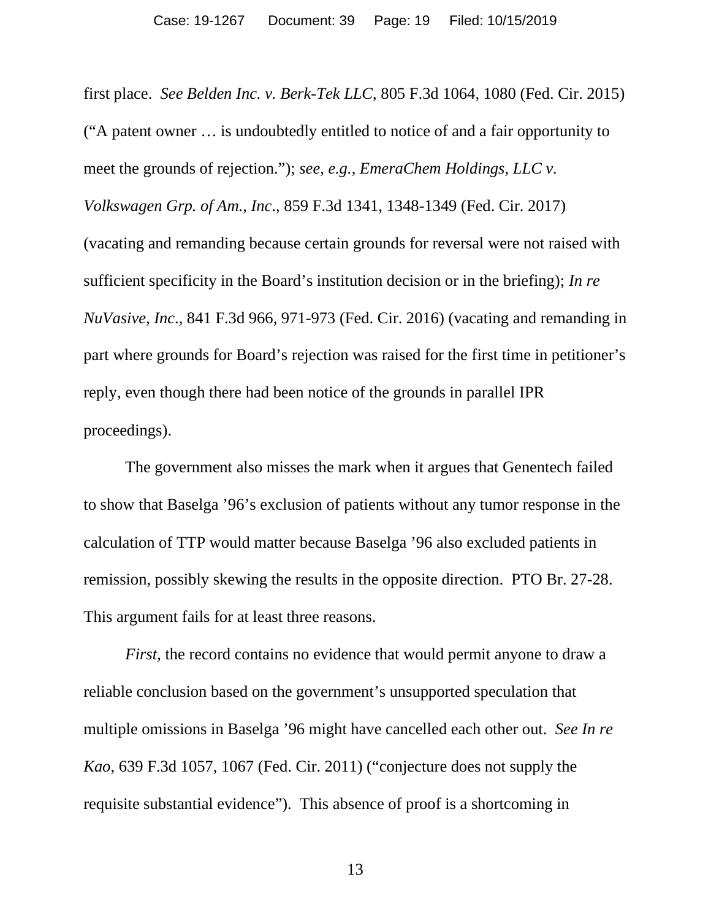first place. *See Belden Inc. v. Berk-Tek LLC*, 805 F.3d 1064, 1080 (Fed. Cir. 2015) ("A patent owner … is undoubtedly entitled to notice of and a fair opportunity to meet the grounds of rejection."); *see, e.g.*, *EmeraChem Holdings, LLC v. Volkswagen Grp. of Am., Inc*., 859 F.3d 1341, 1348-1349 (Fed. Cir. 2017) (vacating and remanding because certain grounds for reversal were not raised with sufficient specificity in the Board's institution decision or in the briefing); *In re NuVasive, Inc*., 841 F.3d 966, 971-973 (Fed. Cir. 2016) (vacating and remanding in part where grounds for Board's rejection was raised for the first time in petitioner's reply, even though there had been notice of the grounds in parallel IPR proceedings).

The government also misses the mark when it argues that Genentech failed to show that Baselga '96's exclusion of patients without any tumor response in the calculation of TTP would matter because Baselga '96 also excluded patients in remission, possibly skewing the results in the opposite direction. PTO Br. 27-28. This argument fails for at least three reasons.

*First*, the record contains no evidence that would permit anyone to draw a reliable conclusion based on the government's unsupported speculation that multiple omissions in Baselga '96 might have cancelled each other out. *See In re Kao*, 639 F.3d 1057, 1067 (Fed. Cir. 2011) ("conjecture does not supply the requisite substantial evidence"). This absence of proof is a shortcoming in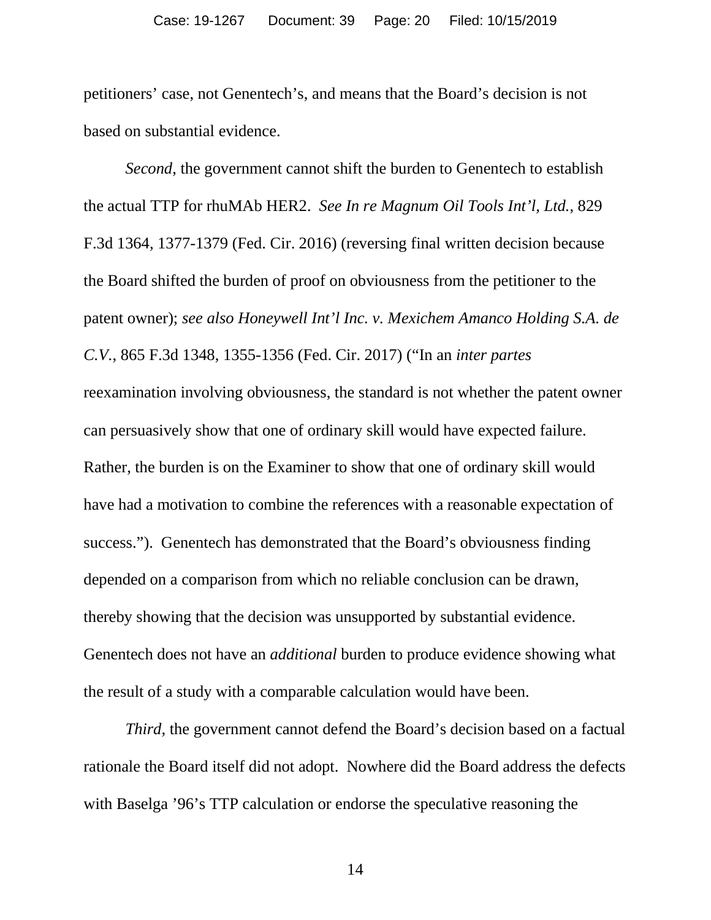petitioners' case, not Genentech's, and means that the Board's decision is not based on substantial evidence.

*Second*, the government cannot shift the burden to Genentech to establish the actual TTP for rhuMAb HER2. *See In re Magnum Oil Tools Int'l, Ltd.*, 829 F.3d 1364, 1377-1379 (Fed. Cir. 2016) (reversing final written decision because the Board shifted the burden of proof on obviousness from the petitioner to the patent owner); *see also Honeywell Int'l Inc. v. Mexichem Amanco Holding S.A. de C.V.*, 865 F.3d 1348, 1355-1356 (Fed. Cir. 2017) ("In an *inter partes* reexamination involving obviousness, the standard is not whether the patent owner can persuasively show that one of ordinary skill would have expected failure. Rather, the burden is on the Examiner to show that one of ordinary skill would have had a motivation to combine the references with a reasonable expectation of success."). Genentech has demonstrated that the Board's obviousness finding depended on a comparison from which no reliable conclusion can be drawn, thereby showing that the decision was unsupported by substantial evidence. Genentech does not have an *additional* burden to produce evidence showing what the result of a study with a comparable calculation would have been.

*Third*, the government cannot defend the Board's decision based on a factual rationale the Board itself did not adopt. Nowhere did the Board address the defects with Baselga '96's TTP calculation or endorse the speculative reasoning the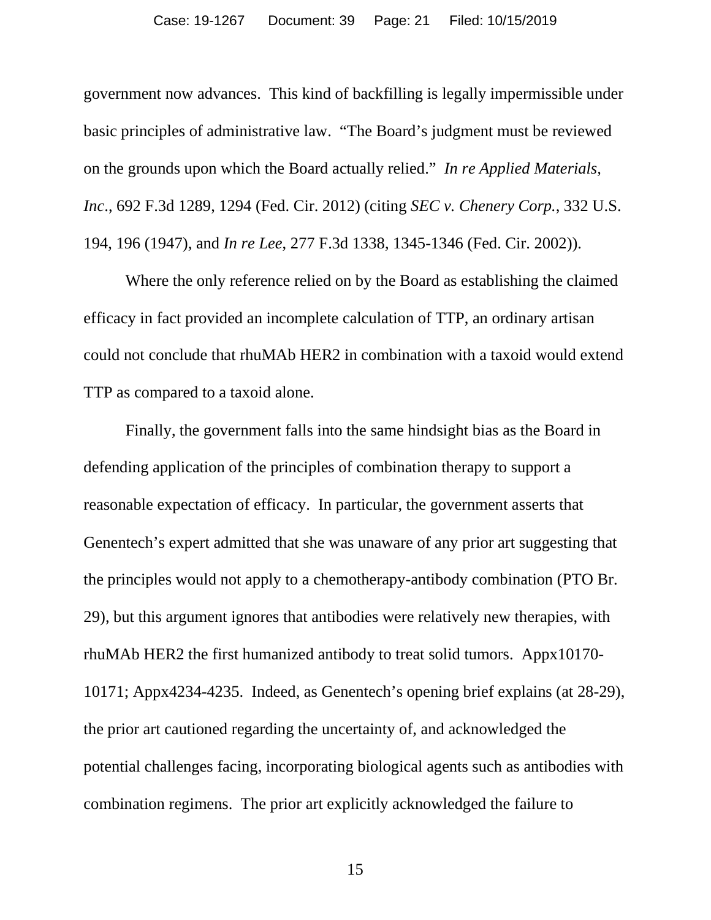government now advances. This kind of backfilling is legally impermissible under basic principles of administrative law. "The Board's judgment must be reviewed on the grounds upon which the Board actually relied." *In re Applied Materials, Inc*., 692 F.3d 1289, 1294 (Fed. Cir. 2012) (citing *SEC v. Chenery Corp.*, 332 U.S. 194, 196 (1947), and *In re Lee*, 277 F.3d 1338, 1345-1346 (Fed. Cir. 2002)).

Where the only reference relied on by the Board as establishing the claimed efficacy in fact provided an incomplete calculation of TTP, an ordinary artisan could not conclude that rhuMAb HER2 in combination with a taxoid would extend TTP as compared to a taxoid alone.

Finally, the government falls into the same hindsight bias as the Board in defending application of the principles of combination therapy to support a reasonable expectation of efficacy. In particular, the government asserts that Genentech's expert admitted that she was unaware of any prior art suggesting that the principles would not apply to a chemotherapy-antibody combination (PTO Br. 29), but this argument ignores that antibodies were relatively new therapies, with rhuMAb HER2 the first humanized antibody to treat solid tumors. Appx10170- 10171; Appx4234-4235. Indeed, as Genentech's opening brief explains (at 28-29), the prior art cautioned regarding the uncertainty of, and acknowledged the potential challenges facing, incorporating biological agents such as antibodies with combination regimens. The prior art explicitly acknowledged the failure to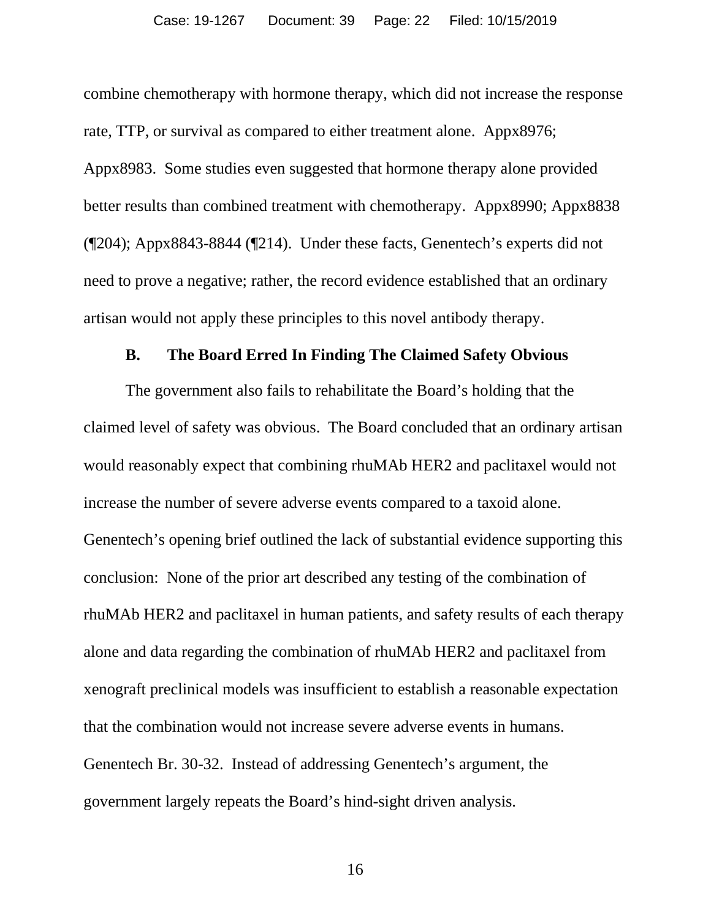combine chemotherapy with hormone therapy, which did not increase the response rate, TTP, or survival as compared to either treatment alone. Appx8976; Appx8983. Some studies even suggested that hormone therapy alone provided better results than combined treatment with chemotherapy. Appx8990; Appx8838 (¶204); Appx8843-8844 (¶214). Under these facts, Genentech's experts did not need to prove a negative; rather, the record evidence established that an ordinary artisan would not apply these principles to this novel antibody therapy.

#### **B. The Board Erred In Finding The Claimed Safety Obvious**

<span id="page-21-0"></span>The government also fails to rehabilitate the Board's holding that the claimed level of safety was obvious. The Board concluded that an ordinary artisan would reasonably expect that combining rhuMAb HER2 and paclitaxel would not increase the number of severe adverse events compared to a taxoid alone. Genentech's opening brief outlined the lack of substantial evidence supporting this conclusion: None of the prior art described any testing of the combination of rhuMAb HER2 and paclitaxel in human patients, and safety results of each therapy alone and data regarding the combination of rhuMAb HER2 and paclitaxel from xenograft preclinical models was insufficient to establish a reasonable expectation that the combination would not increase severe adverse events in humans. Genentech Br. 30-32. Instead of addressing Genentech's argument, the government largely repeats the Board's hind-sight driven analysis.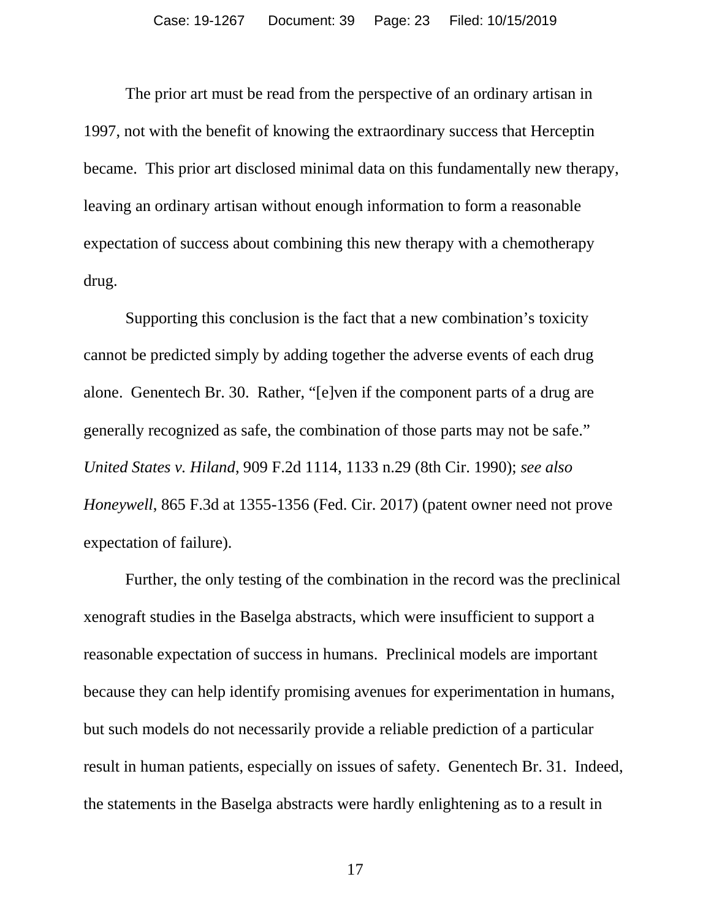The prior art must be read from the perspective of an ordinary artisan in 1997, not with the benefit of knowing the extraordinary success that Herceptin became. This prior art disclosed minimal data on this fundamentally new therapy, leaving an ordinary artisan without enough information to form a reasonable expectation of success about combining this new therapy with a chemotherapy drug.

Supporting this conclusion is the fact that a new combination's toxicity cannot be predicted simply by adding together the adverse events of each drug alone. Genentech Br. 30. Rather, "[e]ven if the component parts of a drug are generally recognized as safe, the combination of those parts may not be safe." *United States v. Hiland*, 909 F.2d 1114, 1133 n.29 (8th Cir. 1990); *see also Honeywell*, 865 F.3d at 1355-1356 (Fed. Cir. 2017) (patent owner need not prove expectation of failure).

Further, the only testing of the combination in the record was the preclinical xenograft studies in the Baselga abstracts, which were insufficient to support a reasonable expectation of success in humans. Preclinical models are important because they can help identify promising avenues for experimentation in humans, but such models do not necessarily provide a reliable prediction of a particular result in human patients, especially on issues of safety. Genentech Br. 31. Indeed, the statements in the Baselga abstracts were hardly enlightening as to a result in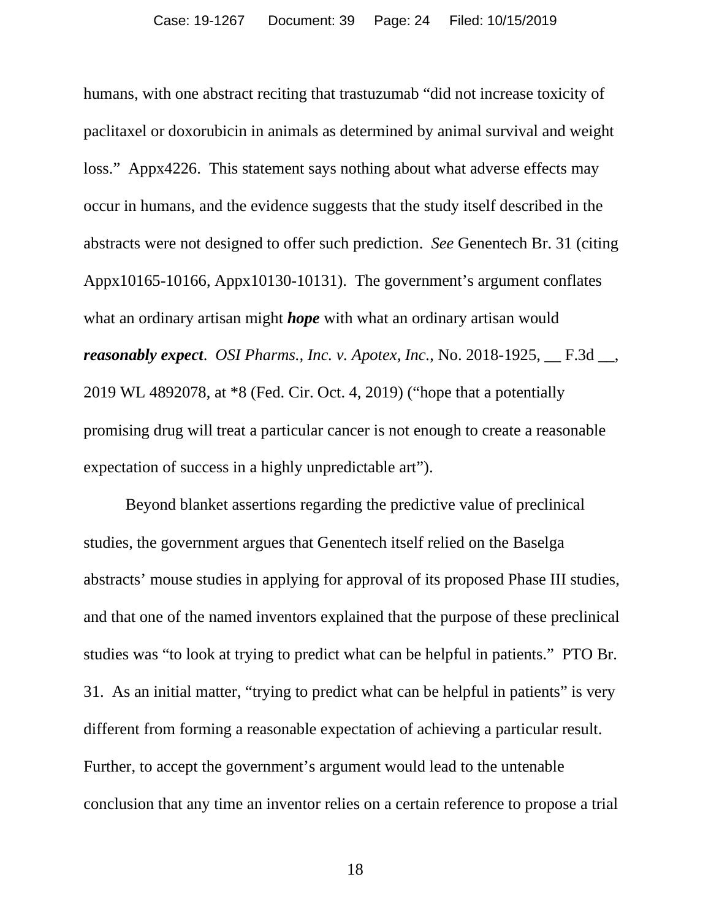humans, with one abstract reciting that trastuzumab "did not increase toxicity of paclitaxel or doxorubicin in animals as determined by animal survival and weight loss." Appx4226. This statement says nothing about what adverse effects may occur in humans, and the evidence suggests that the study itself described in the abstracts were not designed to offer such prediction. *See* Genentech Br. 31 (citing Appx10165-10166, Appx10130-10131). The government's argument conflates what an ordinary artisan might *hope* with what an ordinary artisan would *reasonably expect*. *OSI Pharms., Inc. v. Apotex, Inc.*, No. 2018-1925, \_\_ F.3d \_\_, 2019 WL 4892078, at \*8 (Fed. Cir. Oct. 4, 2019) ("hope that a potentially promising drug will treat a particular cancer is not enough to create a reasonable expectation of success in a highly unpredictable art").

Beyond blanket assertions regarding the predictive value of preclinical studies, the government argues that Genentech itself relied on the Baselga abstracts' mouse studies in applying for approval of its proposed Phase III studies, and that one of the named inventors explained that the purpose of these preclinical studies was "to look at trying to predict what can be helpful in patients." PTO Br. 31. As an initial matter, "trying to predict what can be helpful in patients" is very different from forming a reasonable expectation of achieving a particular result. Further, to accept the government's argument would lead to the untenable conclusion that any time an inventor relies on a certain reference to propose a trial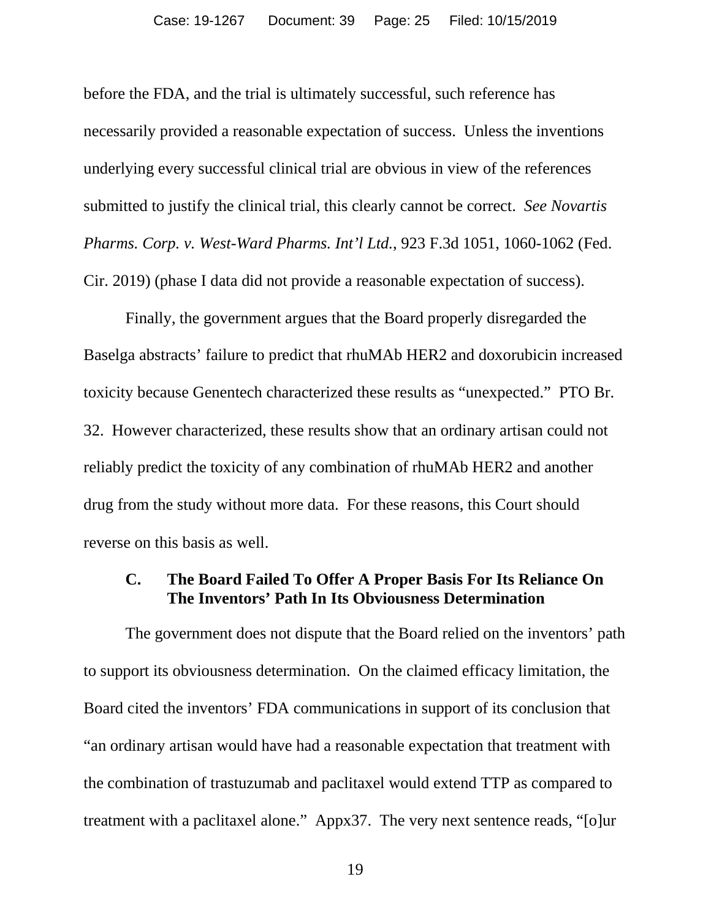before the FDA, and the trial is ultimately successful, such reference has necessarily provided a reasonable expectation of success. Unless the inventions underlying every successful clinical trial are obvious in view of the references submitted to justify the clinical trial, this clearly cannot be correct. *See Novartis Pharms. Corp. v. West-Ward Pharms. Int'l Ltd.*, 923 F.3d 1051, 1060-1062 (Fed. Cir. 2019) (phase I data did not provide a reasonable expectation of success).

Finally, the government argues that the Board properly disregarded the Baselga abstracts' failure to predict that rhuMAb HER2 and doxorubicin increased toxicity because Genentech characterized these results as "unexpected." PTO Br. 32. However characterized, these results show that an ordinary artisan could not reliably predict the toxicity of any combination of rhuMAb HER2 and another drug from the study without more data. For these reasons, this Court should reverse on this basis as well.

#### <span id="page-24-0"></span>**C. The Board Failed To Offer A Proper Basis For Its Reliance On The Inventors' Path In Its Obviousness Determination**

The government does not dispute that the Board relied on the inventors' path to support its obviousness determination. On the claimed efficacy limitation, the Board cited the inventors' FDA communications in support of its conclusion that "an ordinary artisan would have had a reasonable expectation that treatment with the combination of trastuzumab and paclitaxel would extend TTP as compared to treatment with a paclitaxel alone." Appx37. The very next sentence reads, "[o]ur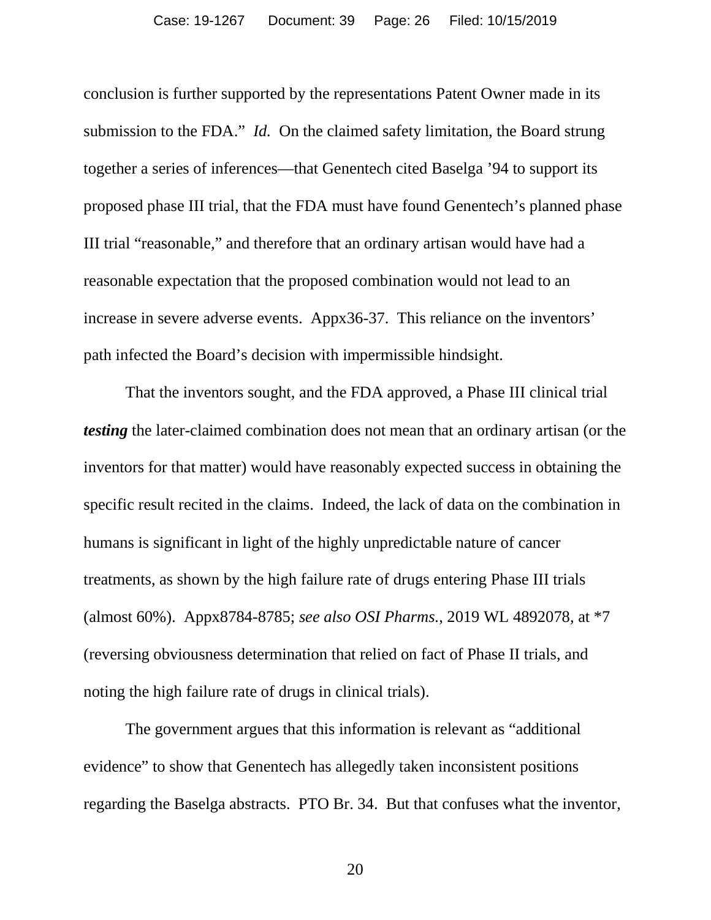conclusion is further supported by the representations Patent Owner made in its submission to the FDA." *Id.* On the claimed safety limitation, the Board strung together a series of inferences—that Genentech cited Baselga '94 to support its proposed phase III trial, that the FDA must have found Genentech's planned phase III trial "reasonable," and therefore that an ordinary artisan would have had a reasonable expectation that the proposed combination would not lead to an increase in severe adverse events. Appx36-37. This reliance on the inventors' path infected the Board's decision with impermissible hindsight.

That the inventors sought, and the FDA approved, a Phase III clinical trial *testing* the later-claimed combination does not mean that an ordinary artisan (or the inventors for that matter) would have reasonably expected success in obtaining the specific result recited in the claims. Indeed, the lack of data on the combination in humans is significant in light of the highly unpredictable nature of cancer treatments, as shown by the high failure rate of drugs entering Phase III trials (almost 60%). Appx8784-8785; *see also OSI Pharms.*, 2019 WL 4892078, at \*7 (reversing obviousness determination that relied on fact of Phase II trials, and noting the high failure rate of drugs in clinical trials).

The government argues that this information is relevant as "additional evidence" to show that Genentech has allegedly taken inconsistent positions regarding the Baselga abstracts. PTO Br. 34. But that confuses what the inventor,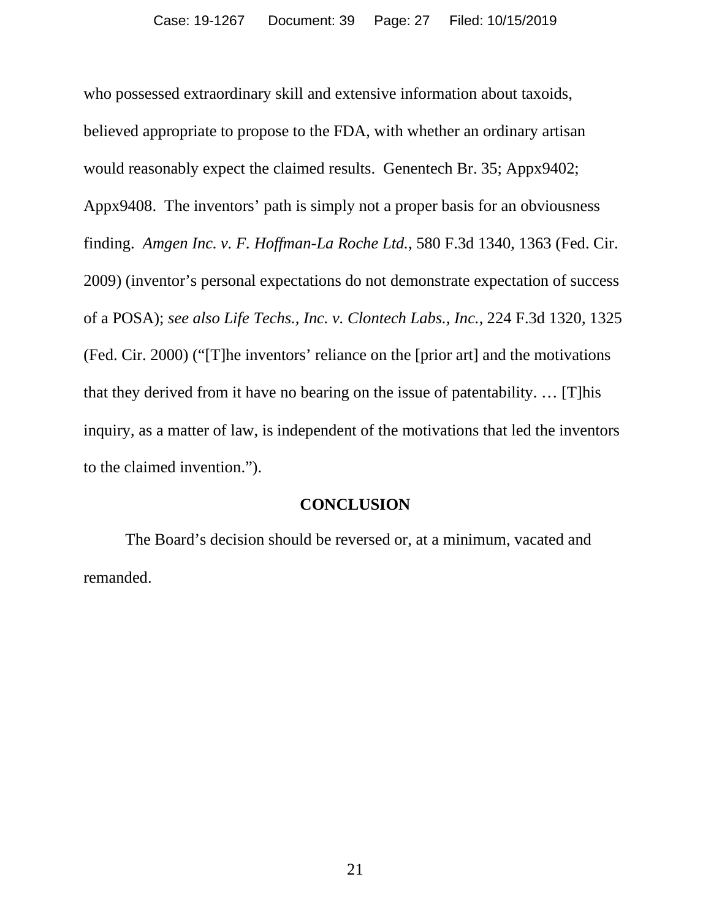who possessed extraordinary skill and extensive information about taxoids, believed appropriate to propose to the FDA, with whether an ordinary artisan would reasonably expect the claimed results. Genentech Br. 35; Appx9402; Appx9408. The inventors' path is simply not a proper basis for an obviousness finding. *Amgen Inc. v. F. Hoffman-La Roche Ltd.*, 580 F.3d 1340, 1363 (Fed. Cir. 2009) (inventor's personal expectations do not demonstrate expectation of success of a POSA); *see also Life Techs., Inc. v. Clontech Labs., Inc.*, 224 F.3d 1320, 1325 (Fed. Cir. 2000) ("[T]he inventors' reliance on the [prior art] and the motivations that they derived from it have no bearing on the issue of patentability. … [T]his inquiry, as a matter of law, is independent of the motivations that led the inventors to the claimed invention.").

#### **CONCLUSION**

<span id="page-26-0"></span>The Board's decision should be reversed or, at a minimum, vacated and remanded.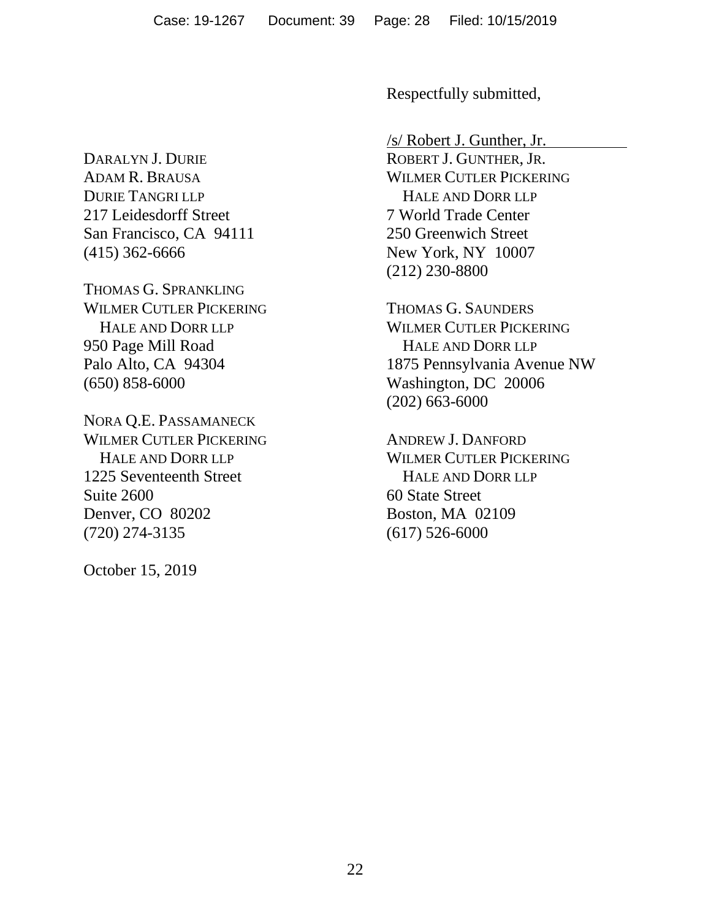DARALYN J. DURIE ADAM R. BRAUSA DURIE TANGRI LLP 217 Leidesdorff Street San Francisco, CA 94111 (415) 362-6666

THOMAS G. SPRANKLING WILMER CUTLER PICKERING HALE AND DORR LLP 950 Page Mill Road Palo Alto, CA 94304 (650) 858-6000

NORA Q.E. PASSAMANECK WILMER CUTLER PICKERING HALE AND DORR LLP 1225 Seventeenth Street Suite 2600 Denver, CO 80202 (720) 274-3135

October 15, 2019

Respectfully submitted,

/s/ Robert J. Gunther, Jr. ROBERT J. GUNTHER, JR. WILMER CUTLER PICKERING HALE AND DORR LLP 7 World Trade Center 250 Greenwich Street New York, NY 10007 (212) 230-8800

THOMAS G. SAUNDERS WILMER CUTLER PICKERING HALE AND DORR LLP 1875 Pennsylvania Avenue NW Washington, DC 20006 (202) 663-6000

ANDREW J. DANFORD WILMER CUTLER PICKERING HALE AND DORR LLP 60 State Street Boston, MA 02109 (617) 526-6000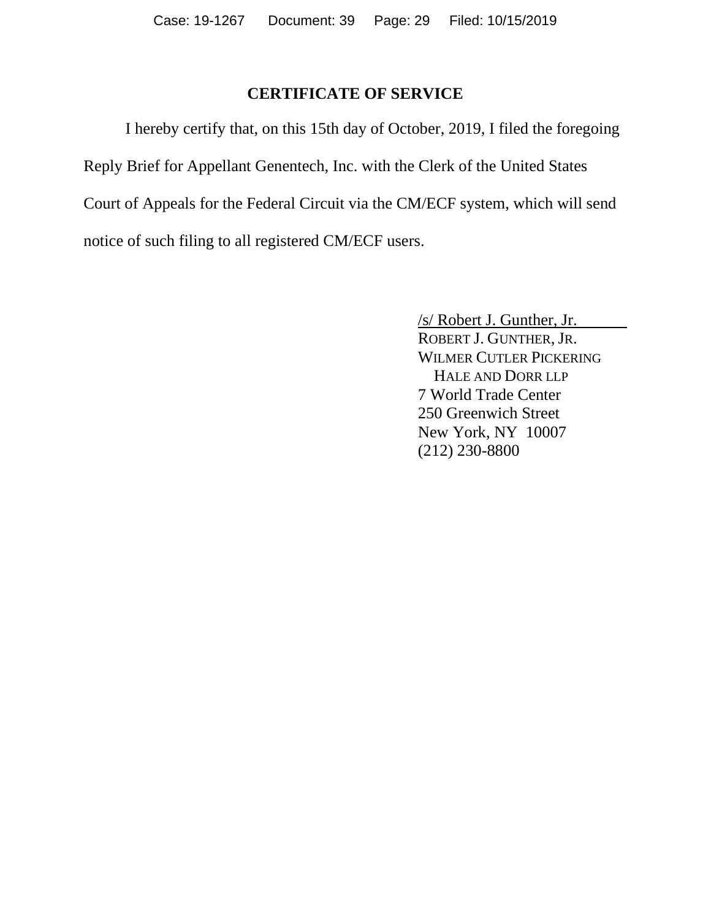## **CERTIFICATE OF SERVICE**

I hereby certify that, on this 15th day of October, 2019, I filed the foregoing Reply Brief for Appellant Genentech, Inc. with the Clerk of the United States Court of Appeals for the Federal Circuit via the CM/ECF system, which will send notice of such filing to all registered CM/ECF users.

> /s/ Robert J. Gunther, Jr. ROBERT J. GUNTHER, JR. WILMER CUTLER PICKERING HALE AND DORR LLP 7 World Trade Center 250 Greenwich Street New York, NY 10007 (212) 230-8800